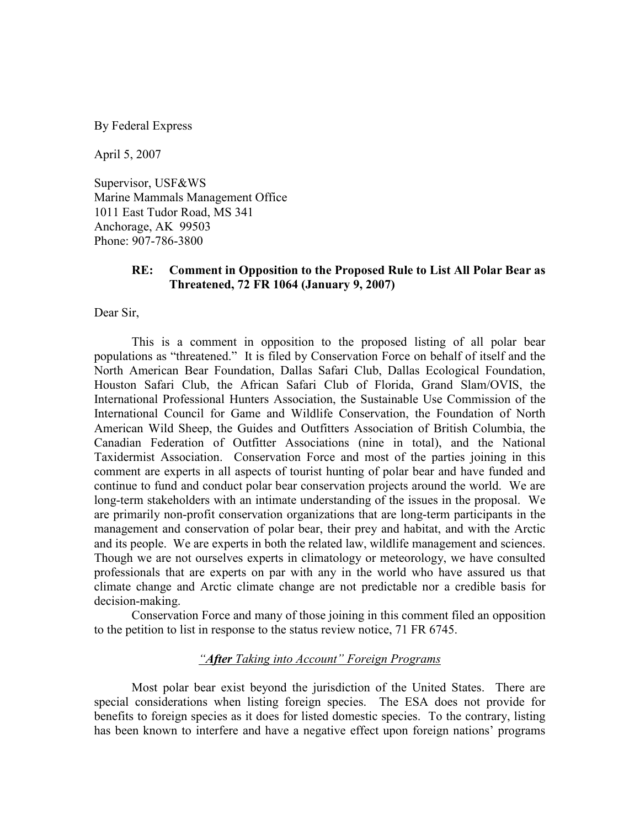By Federal Express

April 5, 2007

Supervisor, USF&WS Marine Mammals Management Office 1011 East Tudor Road, MS 341 Anchorage, AK 99503 Phone: 907-786-3800

## RE: Comment in Opposition to the Proposed Rule to List All Polar Bear as Threatened, 72 FR 1064 (January 9, 2007)

Dear Sir,

 This is a comment in opposition to the proposed listing of all polar bear populations as "threatened." It is filed by Conservation Force on behalf of itself and the North American Bear Foundation, Dallas Safari Club, Dallas Ecological Foundation, Houston Safari Club, the African Safari Club of Florida, Grand Slam/OVIS, the International Professional Hunters Association, the Sustainable Use Commission of the International Council for Game and Wildlife Conservation, the Foundation of North American Wild Sheep, the Guides and Outfitters Association of British Columbia, the Canadian Federation of Outfitter Associations (nine in total), and the National Taxidermist Association. Conservation Force and most of the parties joining in this comment are experts in all aspects of tourist hunting of polar bear and have funded and continue to fund and conduct polar bear conservation projects around the world. We are long-term stakeholders with an intimate understanding of the issues in the proposal. We are primarily non-profit conservation organizations that are long-term participants in the management and conservation of polar bear, their prey and habitat, and with the Arctic and its people. We are experts in both the related law, wildlife management and sciences. Though we are not ourselves experts in climatology or meteorology, we have consulted professionals that are experts on par with any in the world who have assured us that climate change and Arctic climate change are not predictable nor a credible basis for decision-making.

 Conservation Force and many of those joining in this comment filed an opposition to the petition to list in response to the status review notice, 71 FR 6745.

# "After Taking into Account" Foreign Programs

 Most polar bear exist beyond the jurisdiction of the United States. There are special considerations when listing foreign species. The ESA does not provide for benefits to foreign species as it does for listed domestic species. To the contrary, listing has been known to interfere and have a negative effect upon foreign nations' programs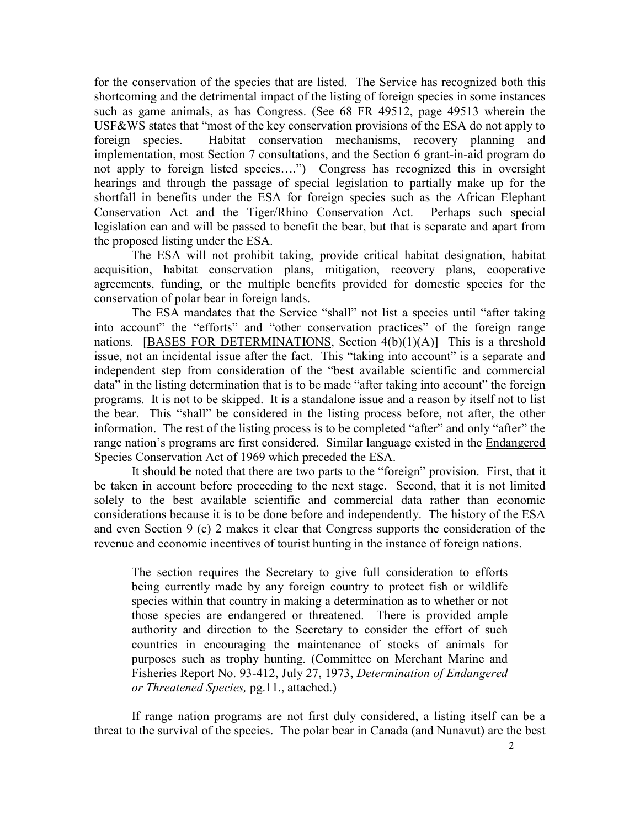for the conservation of the species that are listed. The Service has recognized both this shortcoming and the detrimental impact of the listing of foreign species in some instances such as game animals, as has Congress. (See 68 FR 49512, page 49513 wherein the USF&WS states that "most of the key conservation provisions of the ESA do not apply to foreign species. Habitat conservation mechanisms, recovery planning and implementation, most Section 7 consultations, and the Section 6 grant-in-aid program do not apply to foreign listed species….") Congress has recognized this in oversight hearings and through the passage of special legislation to partially make up for the shortfall in benefits under the ESA for foreign species such as the African Elephant Conservation Act and the Tiger/Rhino Conservation Act. Perhaps such special legislation can and will be passed to benefit the bear, but that is separate and apart from the proposed listing under the ESA.

 The ESA will not prohibit taking, provide critical habitat designation, habitat acquisition, habitat conservation plans, mitigation, recovery plans, cooperative agreements, funding, or the multiple benefits provided for domestic species for the conservation of polar bear in foreign lands.

 The ESA mandates that the Service "shall" not list a species until "after taking into account" the "efforts" and "other conservation practices" of the foreign range nations. [BASES FOR DETERMINATIONS, Section  $4(b)(1)(A)$ ] This is a threshold issue, not an incidental issue after the fact. This "taking into account" is a separate and independent step from consideration of the "best available scientific and commercial data" in the listing determination that is to be made "after taking into account" the foreign programs. It is not to be skipped. It is a standalone issue and a reason by itself not to list the bear. This "shall" be considered in the listing process before, not after, the other information. The rest of the listing process is to be completed "after" and only "after" the range nation's programs are first considered. Similar language existed in the Endangered Species Conservation Act of 1969 which preceded the ESA.

 It should be noted that there are two parts to the "foreign" provision. First, that it be taken in account before proceeding to the next stage. Second, that it is not limited solely to the best available scientific and commercial data rather than economic considerations because it is to be done before and independently. The history of the ESA and even Section 9 (c) 2 makes it clear that Congress supports the consideration of the revenue and economic incentives of tourist hunting in the instance of foreign nations.

The section requires the Secretary to give full consideration to efforts being currently made by any foreign country to protect fish or wildlife species within that country in making a determination as to whether or not those species are endangered or threatened. There is provided ample authority and direction to the Secretary to consider the effort of such countries in encouraging the maintenance of stocks of animals for purposes such as trophy hunting. (Committee on Merchant Marine and Fisheries Report No. 93-412, July 27, 1973, Determination of Endangered or Threatened Species, pg.11., attached.)

 If range nation programs are not first duly considered, a listing itself can be a threat to the survival of the species. The polar bear in Canada (and Nunavut) are the best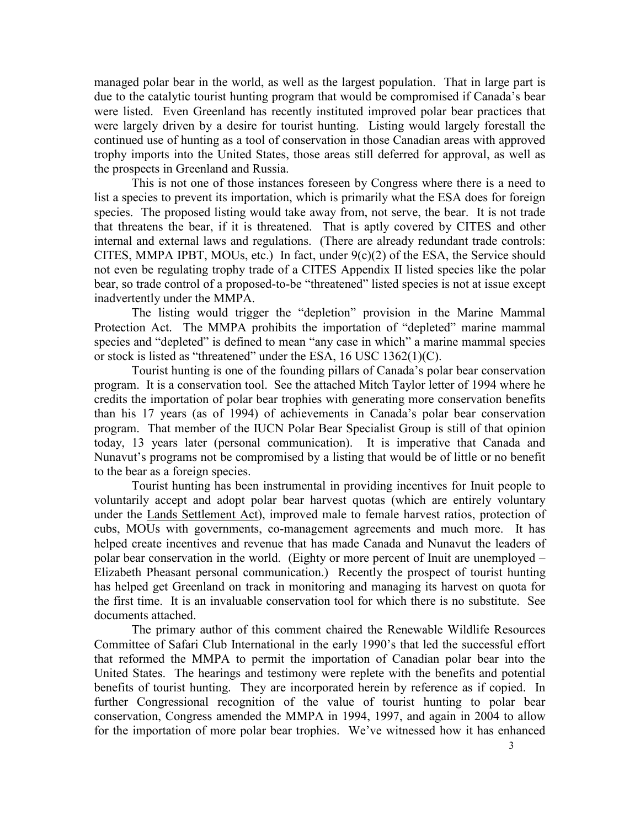managed polar bear in the world, as well as the largest population. That in large part is due to the catalytic tourist hunting program that would be compromised if Canada's bear were listed. Even Greenland has recently instituted improved polar bear practices that were largely driven by a desire for tourist hunting. Listing would largely forestall the continued use of hunting as a tool of conservation in those Canadian areas with approved trophy imports into the United States, those areas still deferred for approval, as well as the prospects in Greenland and Russia.

 This is not one of those instances foreseen by Congress where there is a need to list a species to prevent its importation, which is primarily what the ESA does for foreign species. The proposed listing would take away from, not serve, the bear. It is not trade that threatens the bear, if it is threatened. That is aptly covered by CITES and other internal and external laws and regulations. (There are already redundant trade controls: CITES, MMPA IPBT, MOUs, etc.) In fact, under  $9(c)(2)$  of the ESA, the Service should not even be regulating trophy trade of a CITES Appendix II listed species like the polar bear, so trade control of a proposed-to-be "threatened" listed species is not at issue except inadvertently under the MMPA.

 The listing would trigger the "depletion" provision in the Marine Mammal Protection Act. The MMPA prohibits the importation of "depleted" marine mammal species and "depleted" is defined to mean "any case in which" a marine mammal species or stock is listed as "threatened" under the ESA, 16 USC 1362(1)(C).

 Tourist hunting is one of the founding pillars of Canada's polar bear conservation program. It is a conservation tool. See the attached Mitch Taylor letter of 1994 where he credits the importation of polar bear trophies with generating more conservation benefits than his 17 years (as of 1994) of achievements in Canada's polar bear conservation program. That member of the IUCN Polar Bear Specialist Group is still of that opinion today, 13 years later (personal communication). It is imperative that Canada and Nunavut's programs not be compromised by a listing that would be of little or no benefit to the bear as a foreign species.

 Tourist hunting has been instrumental in providing incentives for Inuit people to voluntarily accept and adopt polar bear harvest quotas (which are entirely voluntary under the Lands Settlement Act), improved male to female harvest ratios, protection of cubs, MOUs with governments, co-management agreements and much more. It has helped create incentives and revenue that has made Canada and Nunavut the leaders of polar bear conservation in the world. (Eighty or more percent of Inuit are unemployed – Elizabeth Pheasant personal communication.) Recently the prospect of tourist hunting has helped get Greenland on track in monitoring and managing its harvest on quota for the first time. It is an invaluable conservation tool for which there is no substitute. See documents attached.

 The primary author of this comment chaired the Renewable Wildlife Resources Committee of Safari Club International in the early 1990's that led the successful effort that reformed the MMPA to permit the importation of Canadian polar bear into the United States. The hearings and testimony were replete with the benefits and potential benefits of tourist hunting. They are incorporated herein by reference as if copied. In further Congressional recognition of the value of tourist hunting to polar bear conservation, Congress amended the MMPA in 1994, 1997, and again in 2004 to allow for the importation of more polar bear trophies. We've witnessed how it has enhanced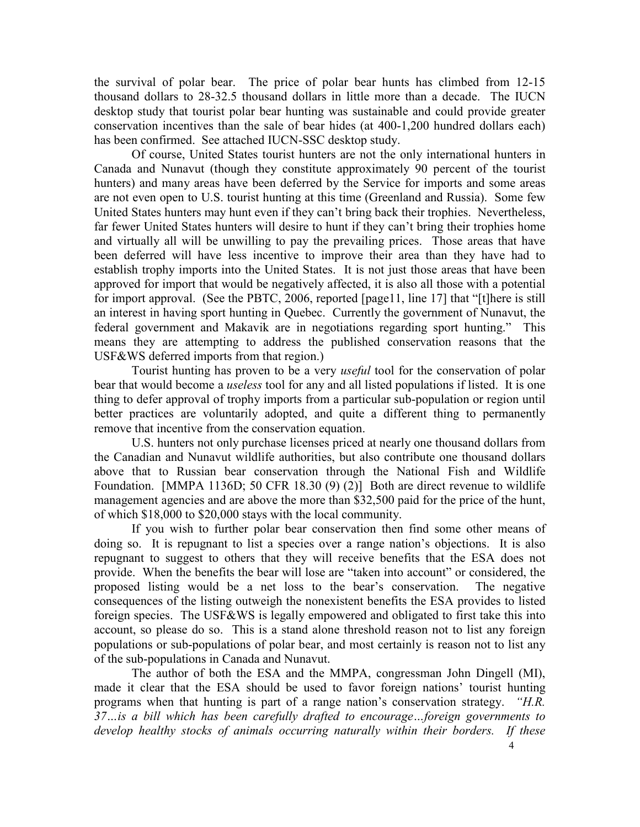the survival of polar bear. The price of polar bear hunts has climbed from 12-15 thousand dollars to 28-32.5 thousand dollars in little more than a decade. The IUCN desktop study that tourist polar bear hunting was sustainable and could provide greater conservation incentives than the sale of bear hides (at 400-1,200 hundred dollars each) has been confirmed. See attached IUCN-SSC desktop study.

 Of course, United States tourist hunters are not the only international hunters in Canada and Nunavut (though they constitute approximately 90 percent of the tourist hunters) and many areas have been deferred by the Service for imports and some areas are not even open to U.S. tourist hunting at this time (Greenland and Russia). Some few United States hunters may hunt even if they can't bring back their trophies. Nevertheless, far fewer United States hunters will desire to hunt if they can't bring their trophies home and virtually all will be unwilling to pay the prevailing prices. Those areas that have been deferred will have less incentive to improve their area than they have had to establish trophy imports into the United States. It is not just those areas that have been approved for import that would be negatively affected, it is also all those with a potential for import approval. (See the PBTC, 2006, reported [page11, line 17] that "[t]here is still an interest in having sport hunting in Quebec. Currently the government of Nunavut, the federal government and Makavik are in negotiations regarding sport hunting." This means they are attempting to address the published conservation reasons that the USF&WS deferred imports from that region.)

Tourist hunting has proven to be a very *useful* tool for the conservation of polar bear that would become a *useless* tool for any and all listed populations if listed. It is one thing to defer approval of trophy imports from a particular sub-population or region until better practices are voluntarily adopted, and quite a different thing to permanently remove that incentive from the conservation equation.

 U.S. hunters not only purchase licenses priced at nearly one thousand dollars from the Canadian and Nunavut wildlife authorities, but also contribute one thousand dollars above that to Russian bear conservation through the National Fish and Wildlife Foundation. [MMPA 1136D; 50 CFR 18.30 (9) (2)] Both are direct revenue to wildlife management agencies and are above the more than \$32,500 paid for the price of the hunt, of which \$18,000 to \$20,000 stays with the local community.

 If you wish to further polar bear conservation then find some other means of doing so. It is repugnant to list a species over a range nation's objections. It is also repugnant to suggest to others that they will receive benefits that the ESA does not provide. When the benefits the bear will lose are "taken into account" or considered, the proposed listing would be a net loss to the bear's conservation. The negative consequences of the listing outweigh the nonexistent benefits the ESA provides to listed foreign species. The USF&WS is legally empowered and obligated to first take this into account, so please do so. This is a stand alone threshold reason not to list any foreign populations or sub-populations of polar bear, and most certainly is reason not to list any of the sub-populations in Canada and Nunavut.

 The author of both the ESA and the MMPA, congressman John Dingell (MI), made it clear that the ESA should be used to favor foreign nations' tourist hunting programs when that hunting is part of a range nation's conservation strategy. "H.R. 37…is a bill which has been carefully drafted to encourage…foreign governments to develop healthy stocks of animals occurring naturally within their borders. If these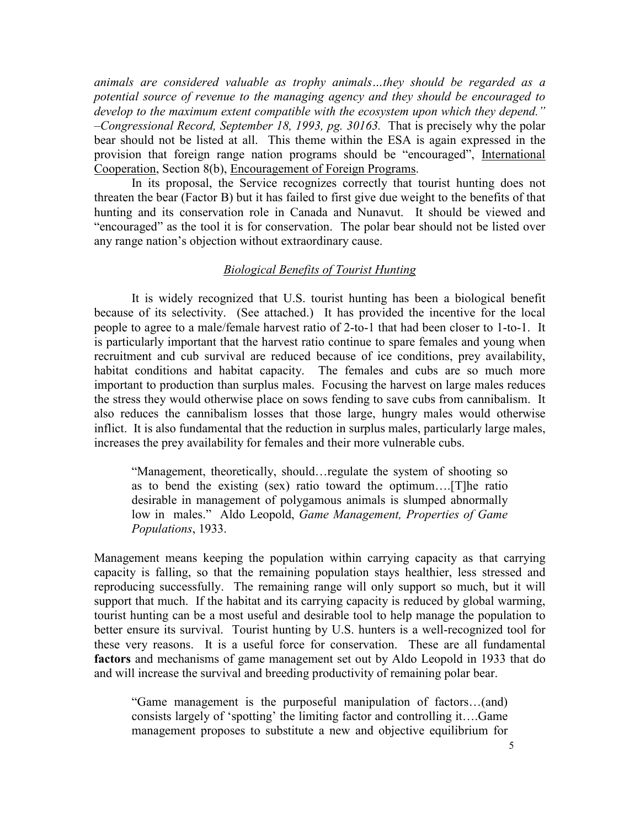animals are considered valuable as trophy animals…they should be regarded as a potential source of revenue to the managing agency and they should be encouraged to develop to the maximum extent compatible with the ecosystem upon which they depend." –Congressional Record, September 18, 1993, pg. 30163. That is precisely why the polar bear should not be listed at all. This theme within the ESA is again expressed in the provision that foreign range nation programs should be "encouraged", International Cooperation, Section 8(b), Encouragement of Foreign Programs.

 In its proposal, the Service recognizes correctly that tourist hunting does not threaten the bear (Factor B) but it has failed to first give due weight to the benefits of that hunting and its conservation role in Canada and Nunavut. It should be viewed and "encouraged" as the tool it is for conservation. The polar bear should not be listed over any range nation's objection without extraordinary cause.

#### Biological Benefits of Tourist Hunting

 It is widely recognized that U.S. tourist hunting has been a biological benefit because of its selectivity. (See attached.) It has provided the incentive for the local people to agree to a male/female harvest ratio of 2-to-1 that had been closer to 1-to-1. It is particularly important that the harvest ratio continue to spare females and young when recruitment and cub survival are reduced because of ice conditions, prey availability, habitat conditions and habitat capacity. The females and cubs are so much more important to production than surplus males. Focusing the harvest on large males reduces the stress they would otherwise place on sows fending to save cubs from cannibalism. It also reduces the cannibalism losses that those large, hungry males would otherwise inflict. It is also fundamental that the reduction in surplus males, particularly large males, increases the prey availability for females and their more vulnerable cubs.

"Management, theoretically, should…regulate the system of shooting so as to bend the existing (sex) ratio toward the optimum….[T]he ratio desirable in management of polygamous animals is slumped abnormally low in males." Aldo Leopold, Game Management, Properties of Game Populations, 1933.

Management means keeping the population within carrying capacity as that carrying capacity is falling, so that the remaining population stays healthier, less stressed and reproducing successfully. The remaining range will only support so much, but it will support that much. If the habitat and its carrying capacity is reduced by global warming, tourist hunting can be a most useful and desirable tool to help manage the population to better ensure its survival. Tourist hunting by U.S. hunters is a well-recognized tool for these very reasons. It is a useful force for conservation. These are all fundamental factors and mechanisms of game management set out by Aldo Leopold in 1933 that do and will increase the survival and breeding productivity of remaining polar bear.

"Game management is the purposeful manipulation of factors…(and) consists largely of 'spotting' the limiting factor and controlling it….Game management proposes to substitute a new and objective equilibrium for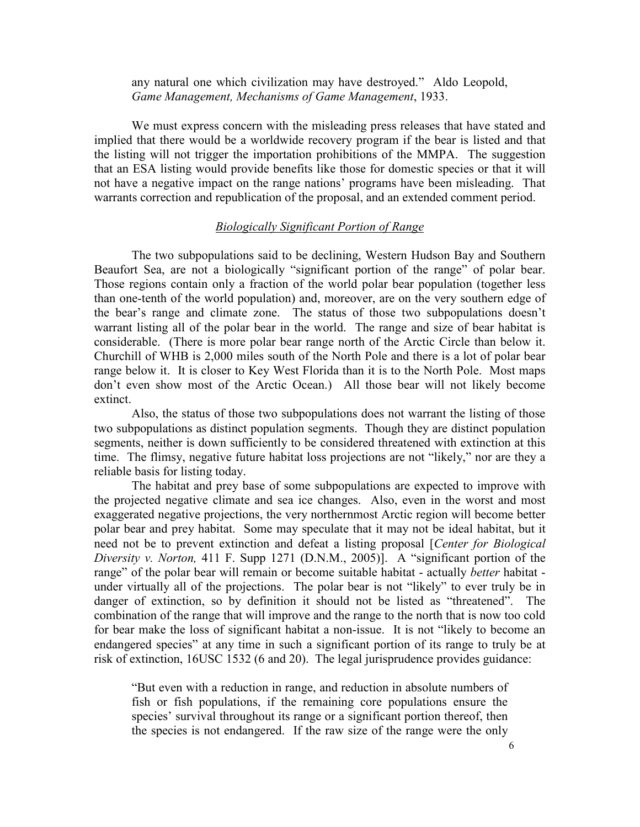any natural one which civilization may have destroyed." Aldo Leopold, Game Management, Mechanisms of Game Management, 1933.

 We must express concern with the misleading press releases that have stated and implied that there would be a worldwide recovery program if the bear is listed and that the listing will not trigger the importation prohibitions of the MMPA. The suggestion that an ESA listing would provide benefits like those for domestic species or that it will not have a negative impact on the range nations' programs have been misleading. That warrants correction and republication of the proposal, and an extended comment period.

# **Biologically Significant Portion of Range**

 The two subpopulations said to be declining, Western Hudson Bay and Southern Beaufort Sea, are not a biologically "significant portion of the range" of polar bear. Those regions contain only a fraction of the world polar bear population (together less than one-tenth of the world population) and, moreover, are on the very southern edge of the bear's range and climate zone. The status of those two subpopulations doesn't warrant listing all of the polar bear in the world. The range and size of bear habitat is considerable. (There is more polar bear range north of the Arctic Circle than below it. Churchill of WHB is 2,000 miles south of the North Pole and there is a lot of polar bear range below it. It is closer to Key West Florida than it is to the North Pole. Most maps don't even show most of the Arctic Ocean.) All those bear will not likely become extinct.

 Also, the status of those two subpopulations does not warrant the listing of those two subpopulations as distinct population segments. Though they are distinct population segments, neither is down sufficiently to be considered threatened with extinction at this time. The flimsy, negative future habitat loss projections are not "likely," nor are they a reliable basis for listing today.

 The habitat and prey base of some subpopulations are expected to improve with the projected negative climate and sea ice changes. Also, even in the worst and most exaggerated negative projections, the very northernmost Arctic region will become better polar bear and prey habitat. Some may speculate that it may not be ideal habitat, but it need not be to prevent extinction and defeat a listing proposal [Center for Biological Diversity v. Norton, 411 F. Supp 1271 (D.N.M., 2005)]. A "significant portion of the range" of the polar bear will remain or become suitable habitat - actually *better* habitat under virtually all of the projections. The polar bear is not "likely" to ever truly be in danger of extinction, so by definition it should not be listed as "threatened". The combination of the range that will improve and the range to the north that is now too cold for bear make the loss of significant habitat a non-issue. It is not "likely to become an endangered species" at any time in such a significant portion of its range to truly be at risk of extinction, 16USC 1532 (6 and 20). The legal jurisprudence provides guidance:

"But even with a reduction in range, and reduction in absolute numbers of fish or fish populations, if the remaining core populations ensure the species' survival throughout its range or a significant portion thereof, then the species is not endangered. If the raw size of the range were the only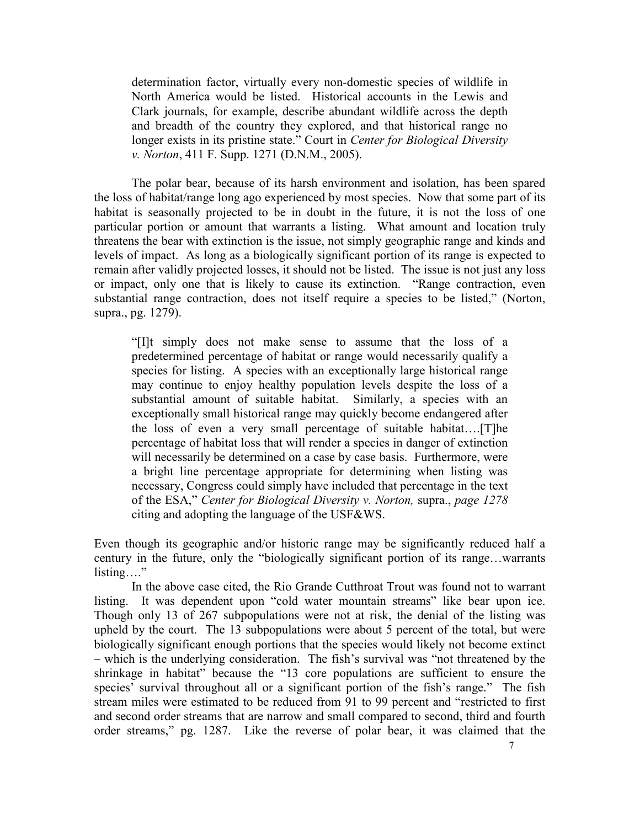determination factor, virtually every non-domestic species of wildlife in North America would be listed. Historical accounts in the Lewis and Clark journals, for example, describe abundant wildlife across the depth and breadth of the country they explored, and that historical range no longer exists in its pristine state." Court in Center for Biological Diversity v. Norton, 411 F. Supp. 1271 (D.N.M., 2005).

 The polar bear, because of its harsh environment and isolation, has been spared the loss of habitat/range long ago experienced by most species. Now that some part of its habitat is seasonally projected to be in doubt in the future, it is not the loss of one particular portion or amount that warrants a listing. What amount and location truly threatens the bear with extinction is the issue, not simply geographic range and kinds and levels of impact. As long as a biologically significant portion of its range is expected to remain after validly projected losses, it should not be listed. The issue is not just any loss or impact, only one that is likely to cause its extinction. "Range contraction, even substantial range contraction, does not itself require a species to be listed," (Norton, supra., pg. 1279).

"[I]t simply does not make sense to assume that the loss of a predetermined percentage of habitat or range would necessarily qualify a species for listing. A species with an exceptionally large historical range may continue to enjoy healthy population levels despite the loss of a substantial amount of suitable habitat. Similarly, a species with an exceptionally small historical range may quickly become endangered after the loss of even a very small percentage of suitable habitat….[T]he percentage of habitat loss that will render a species in danger of extinction will necessarily be determined on a case by case basis. Furthermore, were a bright line percentage appropriate for determining when listing was necessary, Congress could simply have included that percentage in the text of the ESA," Center for Biological Diversity v. Norton, supra., page 1278 citing and adopting the language of the USF&WS.

Even though its geographic and/or historic range may be significantly reduced half a century in the future, only the "biologically significant portion of its range…warrants listing…."

 In the above case cited, the Rio Grande Cutthroat Trout was found not to warrant listing. It was dependent upon "cold water mountain streams" like bear upon ice. Though only 13 of 267 subpopulations were not at risk, the denial of the listing was upheld by the court. The 13 subpopulations were about 5 percent of the total, but were biologically significant enough portions that the species would likely not become extinct – which is the underlying consideration. The fish's survival was "not threatened by the shrinkage in habitat" because the "13 core populations are sufficient to ensure the species' survival throughout all or a significant portion of the fish's range." The fish stream miles were estimated to be reduced from 91 to 99 percent and "restricted to first and second order streams that are narrow and small compared to second, third and fourth order streams," pg. 1287. Like the reverse of polar bear, it was claimed that the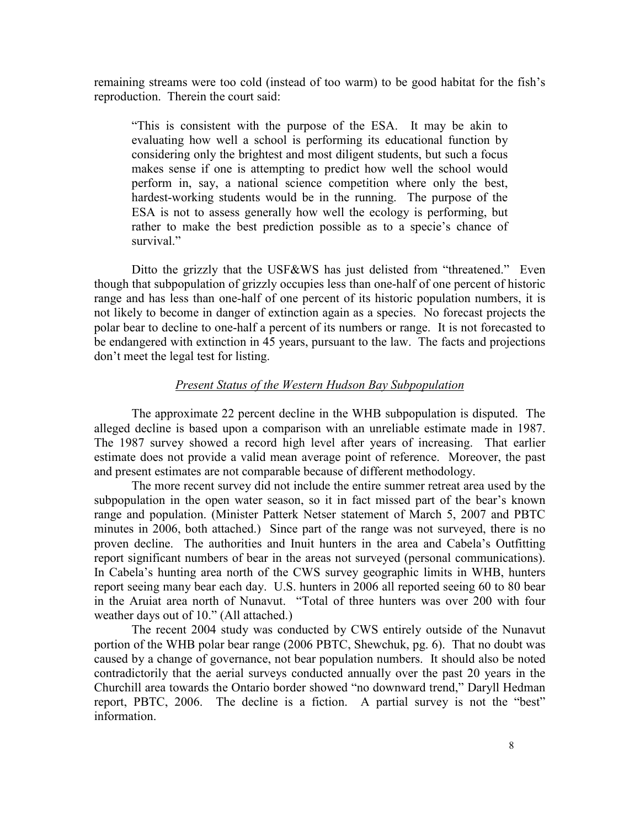remaining streams were too cold (instead of too warm) to be good habitat for the fish's reproduction. Therein the court said:

"This is consistent with the purpose of the ESA. It may be akin to evaluating how well a school is performing its educational function by considering only the brightest and most diligent students, but such a focus makes sense if one is attempting to predict how well the school would perform in, say, a national science competition where only the best, hardest-working students would be in the running. The purpose of the ESA is not to assess generally how well the ecology is performing, but rather to make the best prediction possible as to a specie's chance of survival."

Ditto the grizzly that the USF&WS has just delisted from "threatened." Even though that subpopulation of grizzly occupies less than one-half of one percent of historic range and has less than one-half of one percent of its historic population numbers, it is not likely to become in danger of extinction again as a species. No forecast projects the polar bear to decline to one-half a percent of its numbers or range. It is not forecasted to be endangered with extinction in 45 years, pursuant to the law. The facts and projections don't meet the legal test for listing.

### Present Status of the Western Hudson Bay Subpopulation

 The approximate 22 percent decline in the WHB subpopulation is disputed. The alleged decline is based upon a comparison with an unreliable estimate made in 1987. The 1987 survey showed a record high level after years of increasing. That earlier estimate does not provide a valid mean average point of reference. Moreover, the past and present estimates are not comparable because of different methodology.

 The more recent survey did not include the entire summer retreat area used by the subpopulation in the open water season, so it in fact missed part of the bear's known range and population. (Minister Patterk Netser statement of March 5, 2007 and PBTC minutes in 2006, both attached.) Since part of the range was not surveyed, there is no proven decline. The authorities and Inuit hunters in the area and Cabela's Outfitting report significant numbers of bear in the areas not surveyed (personal communications). In Cabela's hunting area north of the CWS survey geographic limits in WHB, hunters report seeing many bear each day. U.S. hunters in 2006 all reported seeing 60 to 80 bear in the Aruiat area north of Nunavut. "Total of three hunters was over 200 with four weather days out of 10." (All attached.)

 The recent 2004 study was conducted by CWS entirely outside of the Nunavut portion of the WHB polar bear range (2006 PBTC, Shewchuk, pg. 6). That no doubt was caused by a change of governance, not bear population numbers. It should also be noted contradictorily that the aerial surveys conducted annually over the past 20 years in the Churchill area towards the Ontario border showed "no downward trend," Daryll Hedman report, PBTC, 2006. The decline is a fiction. A partial survey is not the "best" information.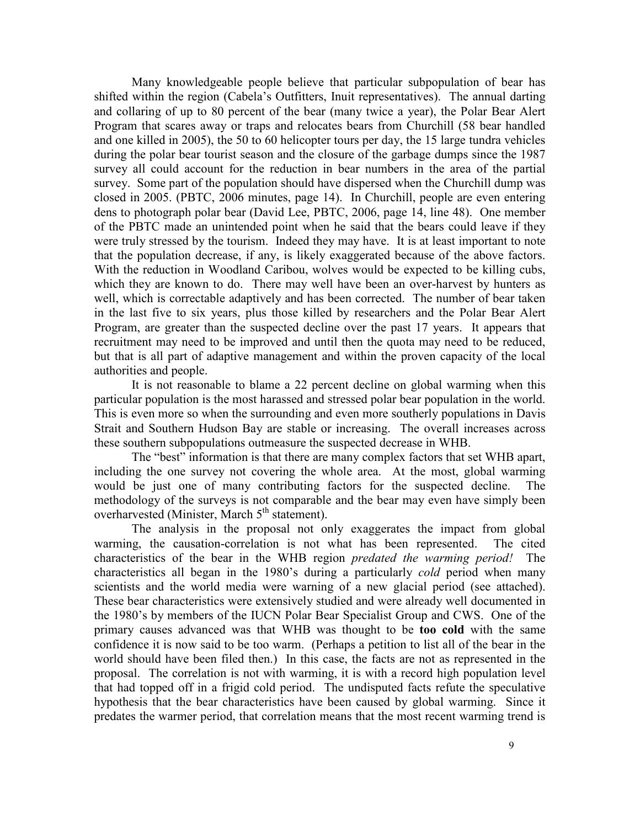Many knowledgeable people believe that particular subpopulation of bear has shifted within the region (Cabela's Outfitters, Inuit representatives). The annual darting and collaring of up to 80 percent of the bear (many twice a year), the Polar Bear Alert Program that scares away or traps and relocates bears from Churchill (58 bear handled and one killed in 2005), the 50 to 60 helicopter tours per day, the 15 large tundra vehicles during the polar bear tourist season and the closure of the garbage dumps since the 1987 survey all could account for the reduction in bear numbers in the area of the partial survey. Some part of the population should have dispersed when the Churchill dump was closed in 2005. (PBTC, 2006 minutes, page 14). In Churchill, people are even entering dens to photograph polar bear (David Lee, PBTC, 2006, page 14, line 48). One member of the PBTC made an unintended point when he said that the bears could leave if they were truly stressed by the tourism. Indeed they may have. It is at least important to note that the population decrease, if any, is likely exaggerated because of the above factors. With the reduction in Woodland Caribou, wolves would be expected to be killing cubs, which they are known to do. There may well have been an over-harvest by hunters as well, which is correctable adaptively and has been corrected. The number of bear taken in the last five to six years, plus those killed by researchers and the Polar Bear Alert Program, are greater than the suspected decline over the past 17 years. It appears that recruitment may need to be improved and until then the quota may need to be reduced, but that is all part of adaptive management and within the proven capacity of the local authorities and people.

 It is not reasonable to blame a 22 percent decline on global warming when this particular population is the most harassed and stressed polar bear population in the world. This is even more so when the surrounding and even more southerly populations in Davis Strait and Southern Hudson Bay are stable or increasing. The overall increases across these southern subpopulations outmeasure the suspected decrease in WHB.

 The "best" information is that there are many complex factors that set WHB apart, including the one survey not covering the whole area. At the most, global warming would be just one of many contributing factors for the suspected decline. The methodology of the surveys is not comparable and the bear may even have simply been overharvested (Minister, March 5<sup>th</sup> statement).

 The analysis in the proposal not only exaggerates the impact from global warming, the causation-correlation is not what has been represented. The cited characteristics of the bear in the WHB region predated the warming period! The characteristics all began in the 1980's during a particularly cold period when many scientists and the world media were warning of a new glacial period (see attached). These bear characteristics were extensively studied and were already well documented in the 1980's by members of the IUCN Polar Bear Specialist Group and CWS. One of the primary causes advanced was that WHB was thought to be too cold with the same confidence it is now said to be too warm. (Perhaps a petition to list all of the bear in the world should have been filed then.) In this case, the facts are not as represented in the proposal. The correlation is not with warming, it is with a record high population level that had topped off in a frigid cold period. The undisputed facts refute the speculative hypothesis that the bear characteristics have been caused by global warming. Since it predates the warmer period, that correlation means that the most recent warming trend is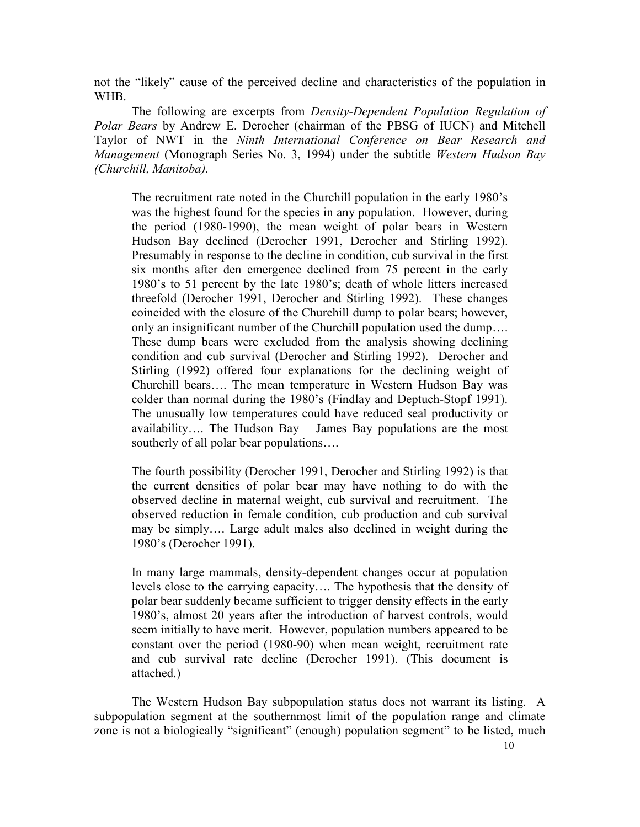not the "likely" cause of the perceived decline and characteristics of the population in WHB.

 The following are excerpts from Density-Dependent Population Regulation of Polar Bears by Andrew E. Derocher (chairman of the PBSG of IUCN) and Mitchell Taylor of NWT in the Ninth International Conference on Bear Research and Management (Monograph Series No. 3, 1994) under the subtitle Western Hudson Bay (Churchill, Manitoba).

 The recruitment rate noted in the Churchill population in the early 1980's was the highest found for the species in any population. However, during the period (1980-1990), the mean weight of polar bears in Western Hudson Bay declined (Derocher 1991, Derocher and Stirling 1992). Presumably in response to the decline in condition, cub survival in the first six months after den emergence declined from 75 percent in the early 1980's to 51 percent by the late 1980's; death of whole litters increased threefold (Derocher 1991, Derocher and Stirling 1992). These changes coincided with the closure of the Churchill dump to polar bears; however, only an insignificant number of the Churchill population used the dump…. These dump bears were excluded from the analysis showing declining condition and cub survival (Derocher and Stirling 1992). Derocher and Stirling (1992) offered four explanations for the declining weight of Churchill bears…. The mean temperature in Western Hudson Bay was colder than normal during the 1980's (Findlay and Deptuch-Stopf 1991). The unusually low temperatures could have reduced seal productivity or availability…. The Hudson Bay – James Bay populations are the most southerly of all polar bear populations….

 The fourth possibility (Derocher 1991, Derocher and Stirling 1992) is that the current densities of polar bear may have nothing to do with the observed decline in maternal weight, cub survival and recruitment. The observed reduction in female condition, cub production and cub survival may be simply…. Large adult males also declined in weight during the 1980's (Derocher 1991).

 In many large mammals, density-dependent changes occur at population levels close to the carrying capacity…. The hypothesis that the density of polar bear suddenly became sufficient to trigger density effects in the early 1980's, almost 20 years after the introduction of harvest controls, would seem initially to have merit. However, population numbers appeared to be constant over the period (1980-90) when mean weight, recruitment rate and cub survival rate decline (Derocher 1991). (This document is attached.)

 The Western Hudson Bay subpopulation status does not warrant its listing. A subpopulation segment at the southernmost limit of the population range and climate zone is not a biologically "significant" (enough) population segment" to be listed, much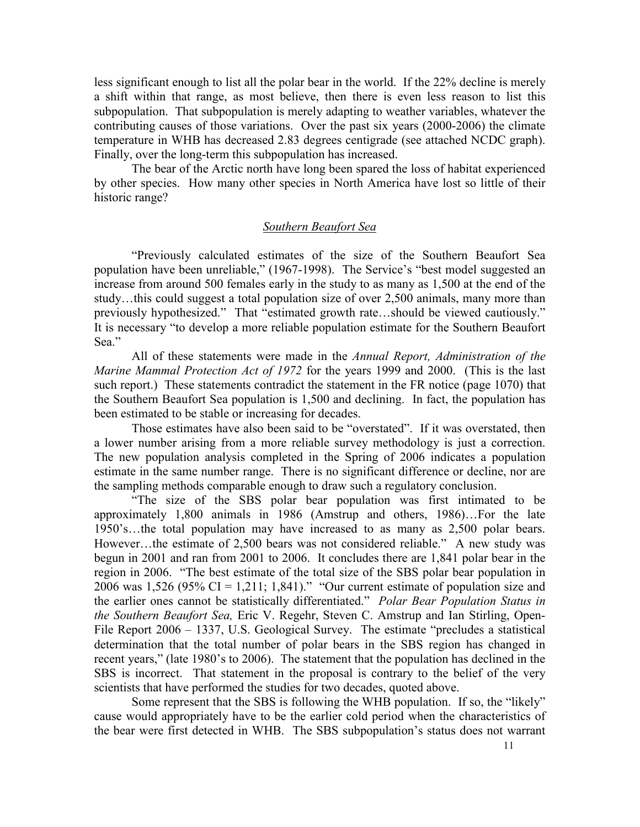less significant enough to list all the polar bear in the world. If the 22% decline is merely a shift within that range, as most believe, then there is even less reason to list this subpopulation. That subpopulation is merely adapting to weather variables, whatever the contributing causes of those variations. Over the past six years (2000-2006) the climate temperature in WHB has decreased 2.83 degrees centigrade (see attached NCDC graph). Finally, over the long-term this subpopulation has increased.

 The bear of the Arctic north have long been spared the loss of habitat experienced by other species. How many other species in North America have lost so little of their historic range?

#### Southern Beaufort Sea

 "Previously calculated estimates of the size of the Southern Beaufort Sea population have been unreliable," (1967-1998). The Service's "best model suggested an increase from around 500 females early in the study to as many as 1,500 at the end of the study…this could suggest a total population size of over 2,500 animals, many more than previously hypothesized." That "estimated growth rate…should be viewed cautiously." It is necessary "to develop a more reliable population estimate for the Southern Beaufort Sea."

All of these statements were made in the Annual Report, Administration of the Marine Mammal Protection Act of 1972 for the years 1999 and 2000. (This is the last such report.) These statements contradict the statement in the FR notice (page 1070) that the Southern Beaufort Sea population is 1,500 and declining. In fact, the population has been estimated to be stable or increasing for decades.

 Those estimates have also been said to be "overstated". If it was overstated, then a lower number arising from a more reliable survey methodology is just a correction. The new population analysis completed in the Spring of 2006 indicates a population estimate in the same number range. There is no significant difference or decline, nor are the sampling methods comparable enough to draw such a regulatory conclusion.

 "The size of the SBS polar bear population was first intimated to be approximately 1,800 animals in 1986 (Amstrup and others, 1986)…For the late 1950's…the total population may have increased to as many as 2,500 polar bears. However…the estimate of 2,500 bears was not considered reliable." A new study was begun in 2001 and ran from 2001 to 2006. It concludes there are 1,841 polar bear in the region in 2006. "The best estimate of the total size of the SBS polar bear population in 2006 was 1,526 (95% CI = 1,211; 1,841)." "Our current estimate of population size and the earlier ones cannot be statistically differentiated." Polar Bear Population Status in the Southern Beaufort Sea, Eric V. Regehr, Steven C. Amstrup and Ian Stirling, Open-File Report 2006 – 1337, U.S. Geological Survey. The estimate "precludes a statistical determination that the total number of polar bears in the SBS region has changed in recent years," (late 1980's to 2006). The statement that the population has declined in the SBS is incorrect. That statement in the proposal is contrary to the belief of the very scientists that have performed the studies for two decades, quoted above.

 Some represent that the SBS is following the WHB population. If so, the "likely" cause would appropriately have to be the earlier cold period when the characteristics of the bear were first detected in WHB. The SBS subpopulation's status does not warrant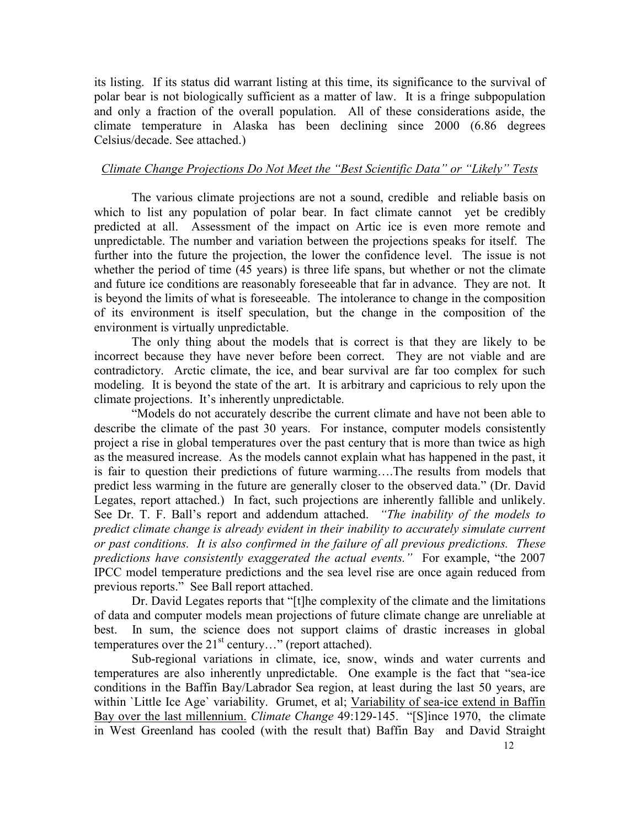its listing. If its status did warrant listing at this time, its significance to the survival of polar bear is not biologically sufficient as a matter of law. It is a fringe subpopulation and only a fraction of the overall population. All of these considerations aside, the climate temperature in Alaska has been declining since 2000 (6.86 degrees Celsius/decade. See attached.)

### Climate Change Projections Do Not Meet the "Best Scientific Data" or "Likely" Tests

 The various climate projections are not a sound, credible and reliable basis on which to list any population of polar bear. In fact climate cannot yet be credibly predicted at all. Assessment of the impact on Artic ice is even more remote and unpredictable. The number and variation between the projections speaks for itself. The further into the future the projection, the lower the confidence level. The issue is not whether the period of time (45 years) is three life spans, but whether or not the climate and future ice conditions are reasonably foreseeable that far in advance. They are not. It is beyond the limits of what is foreseeable. The intolerance to change in the composition of its environment is itself speculation, but the change in the composition of the environment is virtually unpredictable.

 The only thing about the models that is correct is that they are likely to be incorrect because they have never before been correct. They are not viable and are contradictory. Arctic climate, the ice, and bear survival are far too complex for such modeling. It is beyond the state of the art. It is arbitrary and capricious to rely upon the climate projections. It's inherently unpredictable.

 "Models do not accurately describe the current climate and have not been able to describe the climate of the past 30 years. For instance, computer models consistently project a rise in global temperatures over the past century that is more than twice as high as the measured increase. As the models cannot explain what has happened in the past, it is fair to question their predictions of future warming….The results from models that predict less warming in the future are generally closer to the observed data." (Dr. David Legates, report attached.) In fact, such projections are inherently fallible and unlikely. See Dr. T. F. Ball's report and addendum attached. "The *inability of the models to* predict climate change is already evident in their inability to accurately simulate current or past conditions. It is also confirmed in the failure of all previous predictions. These predictions have consistently exaggerated the actual events." For example, "the 2007 IPCC model temperature predictions and the sea level rise are once again reduced from previous reports." See Ball report attached.

 Dr. David Legates reports that "[t]he complexity of the climate and the limitations of data and computer models mean projections of future climate change are unreliable at best. In sum, the science does not support claims of drastic increases in global temperatures over the  $21<sup>st</sup>$  century..." (report attached).

 Sub-regional variations in climate, ice, snow, winds and water currents and temperatures are also inherently unpredictable. One example is the fact that "sea-ice conditions in the Baffin Bay/Labrador Sea region, at least during the last 50 years, are within `Little Ice Age` variability. Grumet, et al; Variability of sea-ice extend in Baffin Bay over the last millennium. Climate Change 49:129-145. "[S]ince 1970, the climate in West Greenland has cooled (with the result that) Baffin Bay and David Straight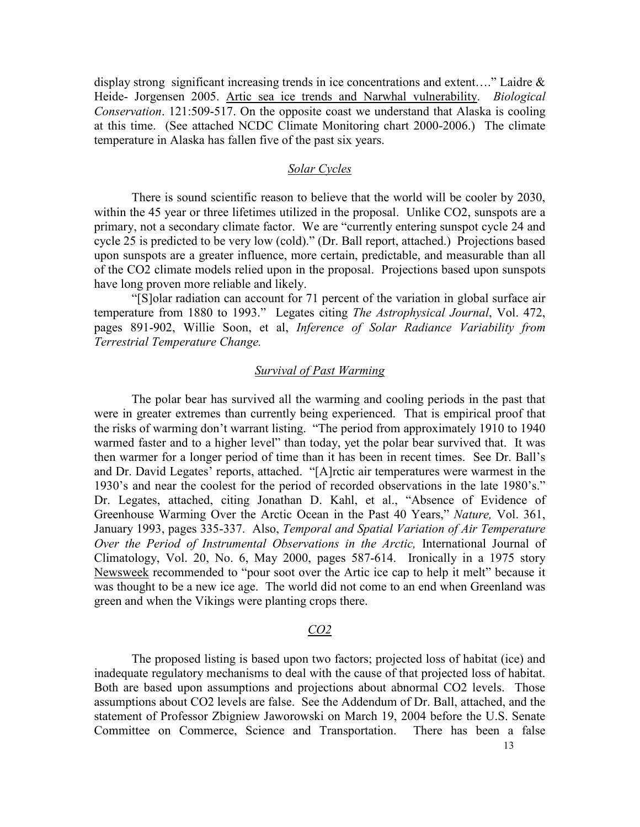display strong significant increasing trends in ice concentrations and extent...." Laidre  $\&$ Heide- Jorgensen 2005. Artic sea ice trends and Narwhal vulnerability. Biological Conservation. 121:509-517. On the opposite coast we understand that Alaska is cooling at this time. (See attached NCDC Climate Monitoring chart 2000-2006.) The climate temperature in Alaska has fallen five of the past six years.

### Solar Cycles

 There is sound scientific reason to believe that the world will be cooler by 2030, within the 45 year or three lifetimes utilized in the proposal. Unlike CO2, sunspots are a primary, not a secondary climate factor. We are "currently entering sunspot cycle 24 and cycle 25 is predicted to be very low (cold)." (Dr. Ball report, attached.) Projections based upon sunspots are a greater influence, more certain, predictable, and measurable than all of the CO2 climate models relied upon in the proposal. Projections based upon sunspots have long proven more reliable and likely.

 "[S]olar radiation can account for 71 percent of the variation in global surface air temperature from 1880 to 1993." Legates citing The Astrophysical Journal, Vol. 472, pages 891-902, Willie Soon, et al, Inference of Solar Radiance Variability from Terrestrial Temperature Change.

#### Survival of Past Warming

 The polar bear has survived all the warming and cooling periods in the past that were in greater extremes than currently being experienced. That is empirical proof that the risks of warming don't warrant listing. "The period from approximately 1910 to 1940 warmed faster and to a higher level" than today, yet the polar bear survived that. It was then warmer for a longer period of time than it has been in recent times. See Dr. Ball's and Dr. David Legates' reports, attached. "[A]rctic air temperatures were warmest in the 1930's and near the coolest for the period of recorded observations in the late 1980's." Dr. Legates, attached, citing Jonathan D. Kahl, et al., "Absence of Evidence of Greenhouse Warming Over the Arctic Ocean in the Past 40 Years," Nature, Vol. 361, January 1993, pages 335-337. Also, Temporal and Spatial Variation of Air Temperature Over the Period of Instrumental Observations in the Arctic, International Journal of Climatology, Vol. 20, No. 6, May 2000, pages 587-614. Ironically in a 1975 story Newsweek recommended to "pour soot over the Artic ice cap to help it melt" because it was thought to be a new ice age. The world did not come to an end when Greenland was green and when the Vikings were planting crops there.

#### CO2

 The proposed listing is based upon two factors; projected loss of habitat (ice) and inadequate regulatory mechanisms to deal with the cause of that projected loss of habitat. Both are based upon assumptions and projections about abnormal CO2 levels. Those assumptions about CO2 levels are false. See the Addendum of Dr. Ball, attached, and the statement of Professor Zbigniew Jaworowski on March 19, 2004 before the U.S. Senate Committee on Commerce, Science and Transportation. There has been a false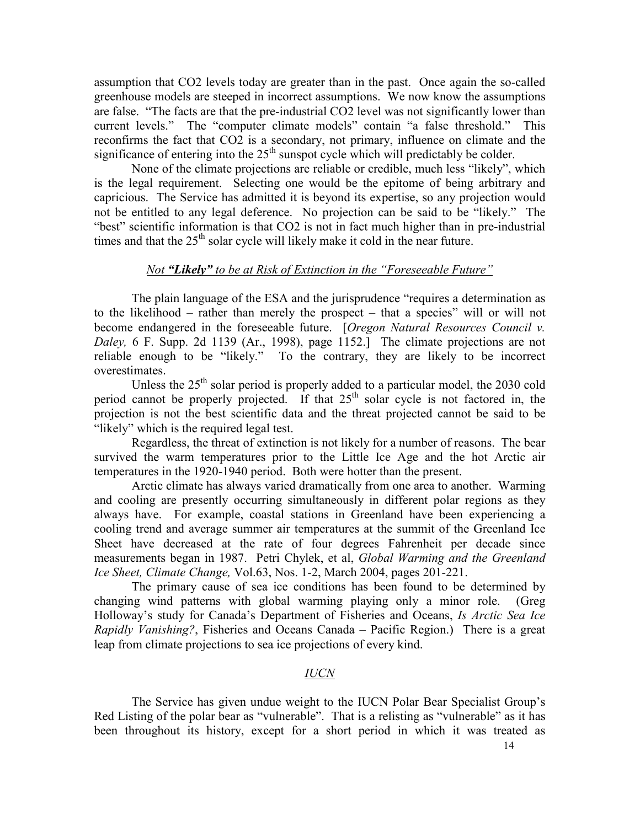assumption that CO2 levels today are greater than in the past. Once again the so-called greenhouse models are steeped in incorrect assumptions. We now know the assumptions are false. "The facts are that the pre-industrial CO2 level was not significantly lower than current levels." The "computer climate models" contain "a false threshold." This reconfirms the fact that CO2 is a secondary, not primary, influence on climate and the significance of entering into the  $25<sup>th</sup>$  sunspot cycle which will predictably be colder.

 None of the climate projections are reliable or credible, much less "likely", which is the legal requirement. Selecting one would be the epitome of being arbitrary and capricious. The Service has admitted it is beyond its expertise, so any projection would not be entitled to any legal deference. No projection can be said to be "likely." The "best" scientific information is that CO2 is not in fact much higher than in pre-industrial times and that the  $25<sup>th</sup>$  solar cycle will likely make it cold in the near future.

### Not "Likely" to be at Risk of Extinction in the "Foreseeable Future"

 The plain language of the ESA and the jurisprudence "requires a determination as to the likelihood – rather than merely the prospect – that a species" will or will not become endangered in the foreseeable future. [Oregon Natural Resources Council v. Daley, 6 F. Supp. 2d 1139 (Ar., 1998), page 1152.] The climate projections are not reliable enough to be "likely." To the contrary, they are likely to be incorrect overestimates.

Unless the  $25<sup>th</sup>$  solar period is properly added to a particular model, the 2030 cold period cannot be properly projected. If that  $25<sup>th</sup>$  solar cycle is not factored in, the projection is not the best scientific data and the threat projected cannot be said to be "likely" which is the required legal test.

 Regardless, the threat of extinction is not likely for a number of reasons. The bear survived the warm temperatures prior to the Little Ice Age and the hot Arctic air temperatures in the 1920-1940 period. Both were hotter than the present.

 Arctic climate has always varied dramatically from one area to another. Warming and cooling are presently occurring simultaneously in different polar regions as they always have. For example, coastal stations in Greenland have been experiencing a cooling trend and average summer air temperatures at the summit of the Greenland Ice Sheet have decreased at the rate of four degrees Fahrenheit per decade since measurements began in 1987. Petri Chylek, et al, Global Warming and the Greenland Ice Sheet, Climate Change, Vol.63, Nos. 1-2, March 2004, pages 201-221.

 The primary cause of sea ice conditions has been found to be determined by changing wind patterns with global warming playing only a minor role. (Greg Holloway's study for Canada's Department of Fisheries and Oceans, Is Arctic Sea Ice Rapidly Vanishing?, Fisheries and Oceans Canada – Pacific Region.) There is a great leap from climate projections to sea ice projections of every kind.

### IUCN

 The Service has given undue weight to the IUCN Polar Bear Specialist Group's Red Listing of the polar bear as "vulnerable". That is a relisting as "vulnerable" as it has been throughout its history, except for a short period in which it was treated as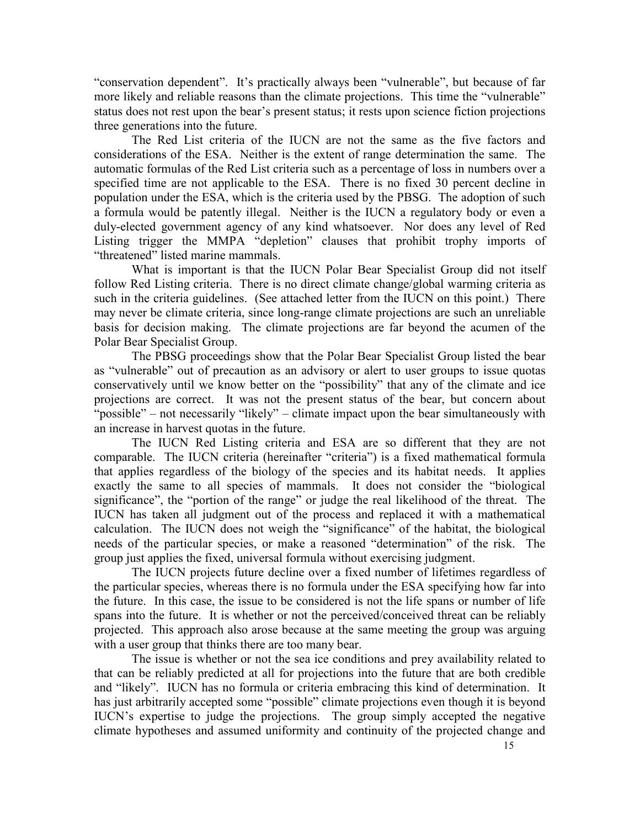"conservation dependent". It's practically always been "vulnerable", but because of far more likely and reliable reasons than the climate projections. This time the "vulnerable" status does not rest upon the bear's present status; it rests upon science fiction projections three generations into the future.

 The Red List criteria of the IUCN are not the same as the five factors and considerations of the ESA. Neither is the extent of range determination the same. The automatic formulas of the Red List criteria such as a percentage of loss in numbers over a specified time are not applicable to the ESA. There is no fixed 30 percent decline in population under the ESA, which is the criteria used by the PBSG. The adoption of such a formula would be patently illegal. Neither is the IUCN a regulatory body or even a duly-elected government agency of any kind whatsoever. Nor does any level of Red Listing trigger the MMPA "depletion" clauses that prohibit trophy imports of "threatened" listed marine mammals.

 What is important is that the IUCN Polar Bear Specialist Group did not itself follow Red Listing criteria. There is no direct climate change/global warming criteria as such in the criteria guidelines. (See attached letter from the IUCN on this point.) There may never be climate criteria, since long-range climate projections are such an unreliable basis for decision making. The climate projections are far beyond the acumen of the Polar Bear Specialist Group.

 The PBSG proceedings show that the Polar Bear Specialist Group listed the bear as "vulnerable" out of precaution as an advisory or alert to user groups to issue quotas conservatively until we know better on the "possibility" that any of the climate and ice projections are correct. It was not the present status of the bear, but concern about "possible" – not necessarily "likely" – climate impact upon the bear simultaneously with an increase in harvest quotas in the future.

The IUCN Red Listing criteria and ESA are so different that they are not comparable. The IUCN criteria (hereinafter "criteria") is a fixed mathematical formula that applies regardless of the biology of the species and its habitat needs. It applies exactly the same to all species of mammals. It does not consider the "biological significance", the "portion of the range" or judge the real likelihood of the threat. The IUCN has taken all judgment out of the process and replaced it with a mathematical calculation. The IUCN does not weigh the "significance" of the habitat, the biological needs of the particular species, or make a reasoned "determination" of the risk. The group just applies the fixed, universal formula without exercising judgment.

 The IUCN projects future decline over a fixed number of lifetimes regardless of the particular species, whereas there is no formula under the ESA specifying how far into the future. In this case, the issue to be considered is not the life spans or number of life spans into the future. It is whether or not the perceived/conceived threat can be reliably projected. This approach also arose because at the same meeting the group was arguing with a user group that thinks there are too many bear.

The issue is whether or not the sea ice conditions and prey availability related to that can be reliably predicted at all for projections into the future that are both credible and "likely". IUCN has no formula or criteria embracing this kind of determination. It has just arbitrarily accepted some "possible" climate projections even though it is beyond IUCN's expertise to judge the projections. The group simply accepted the negative climate hypotheses and assumed uniformity and continuity of the projected change and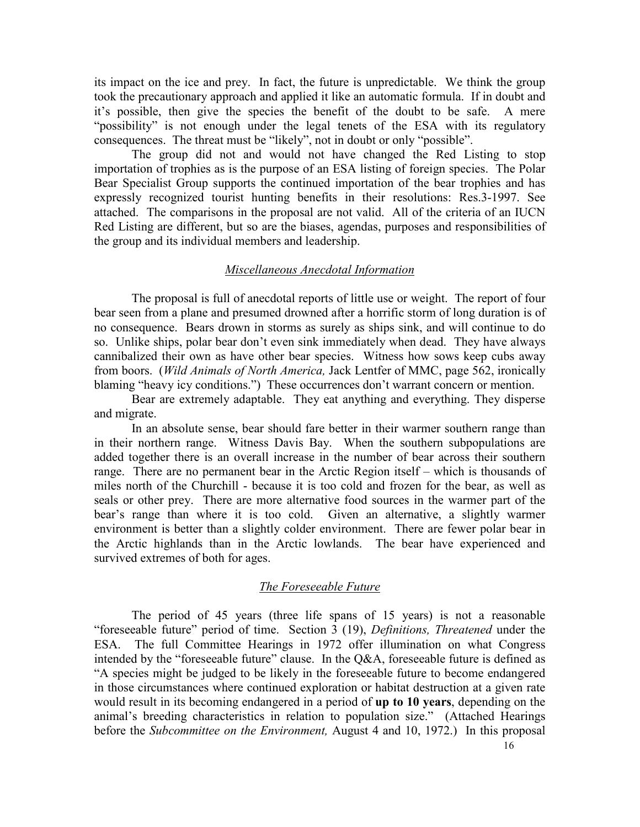its impact on the ice and prey. In fact, the future is unpredictable. We think the group took the precautionary approach and applied it like an automatic formula. If in doubt and it's possible, then give the species the benefit of the doubt to be safe. A mere "possibility" is not enough under the legal tenets of the ESA with its regulatory consequences. The threat must be "likely", not in doubt or only "possible".

 The group did not and would not have changed the Red Listing to stop importation of trophies as is the purpose of an ESA listing of foreign species. The Polar Bear Specialist Group supports the continued importation of the bear trophies and has expressly recognized tourist hunting benefits in their resolutions: Res.3-1997. See attached. The comparisons in the proposal are not valid. All of the criteria of an IUCN Red Listing are different, but so are the biases, agendas, purposes and responsibilities of the group and its individual members and leadership.

#### Miscellaneous Anecdotal Information

 The proposal is full of anecdotal reports of little use or weight. The report of four bear seen from a plane and presumed drowned after a horrific storm of long duration is of no consequence. Bears drown in storms as surely as ships sink, and will continue to do so. Unlike ships, polar bear don't even sink immediately when dead. They have always cannibalized their own as have other bear species. Witness how sows keep cubs away from boors. (Wild Animals of North America, Jack Lentfer of MMC, page 562, ironically blaming "heavy icy conditions.") These occurrences don't warrant concern or mention.

 Bear are extremely adaptable. They eat anything and everything. They disperse and migrate.

 In an absolute sense, bear should fare better in their warmer southern range than in their northern range. Witness Davis Bay. When the southern subpopulations are added together there is an overall increase in the number of bear across their southern range. There are no permanent bear in the Arctic Region itself – which is thousands of miles north of the Churchill - because it is too cold and frozen for the bear, as well as seals or other prey. There are more alternative food sources in the warmer part of the bear's range than where it is too cold. Given an alternative, a slightly warmer environment is better than a slightly colder environment. There are fewer polar bear in the Arctic highlands than in the Arctic lowlands. The bear have experienced and survived extremes of both for ages.

### The Foreseeable Future

 The period of 45 years (three life spans of 15 years) is not a reasonable "foreseeable future" period of time. Section 3 (19), Definitions, Threatened under the ESA. The full Committee Hearings in 1972 offer illumination on what Congress intended by the "foreseeable future" clause. In the Q&A, foreseeable future is defined as "A species might be judged to be likely in the foreseeable future to become endangered in those circumstances where continued exploration or habitat destruction at a given rate would result in its becoming endangered in a period of up to 10 years, depending on the animal's breeding characteristics in relation to population size." (Attached Hearings before the *Subcommittee on the Environment*, August 4 and 10, 1972.) In this proposal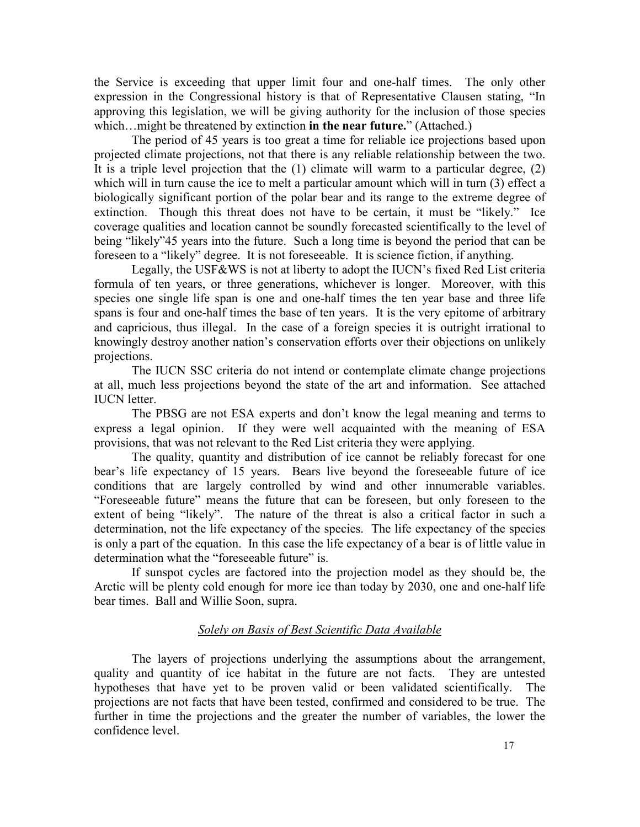the Service is exceeding that upper limit four and one-half times. The only other expression in the Congressional history is that of Representative Clausen stating, "In approving this legislation, we will be giving authority for the inclusion of those species which... might be threatened by extinction in the near future." (Attached.)

 The period of 45 years is too great a time for reliable ice projections based upon projected climate projections, not that there is any reliable relationship between the two. It is a triple level projection that the (1) climate will warm to a particular degree, (2) which will in turn cause the ice to melt a particular amount which will in turn (3) effect a biologically significant portion of the polar bear and its range to the extreme degree of extinction. Though this threat does not have to be certain, it must be "likely." Ice coverage qualities and location cannot be soundly forecasted scientifically to the level of being "likely"45 years into the future. Such a long time is beyond the period that can be foreseen to a "likely" degree. It is not foreseeable. It is science fiction, if anything.

 Legally, the USF&WS is not at liberty to adopt the IUCN's fixed Red List criteria formula of ten years, or three generations, whichever is longer. Moreover, with this species one single life span is one and one-half times the ten year base and three life spans is four and one-half times the base of ten years. It is the very epitome of arbitrary and capricious, thus illegal. In the case of a foreign species it is outright irrational to knowingly destroy another nation's conservation efforts over their objections on unlikely projections.

 The IUCN SSC criteria do not intend or contemplate climate change projections at all, much less projections beyond the state of the art and information. See attached IUCN letter.

 The PBSG are not ESA experts and don't know the legal meaning and terms to express a legal opinion. If they were well acquainted with the meaning of ESA provisions, that was not relevant to the Red List criteria they were applying.

 The quality, quantity and distribution of ice cannot be reliably forecast for one bear's life expectancy of 15 years. Bears live beyond the foreseeable future of ice conditions that are largely controlled by wind and other innumerable variables. "Foreseeable future" means the future that can be foreseen, but only foreseen to the extent of being "likely". The nature of the threat is also a critical factor in such a determination, not the life expectancy of the species. The life expectancy of the species is only a part of the equation. In this case the life expectancy of a bear is of little value in determination what the "foreseeable future" is.

 If sunspot cycles are factored into the projection model as they should be, the Arctic will be plenty cold enough for more ice than today by 2030, one and one-half life bear times. Ball and Willie Soon, supra.

# Solely on Basis of Best Scientific Data Available

 The layers of projections underlying the assumptions about the arrangement, quality and quantity of ice habitat in the future are not facts. They are untested hypotheses that have yet to be proven valid or been validated scientifically. The projections are not facts that have been tested, confirmed and considered to be true. The further in time the projections and the greater the number of variables, the lower the confidence level.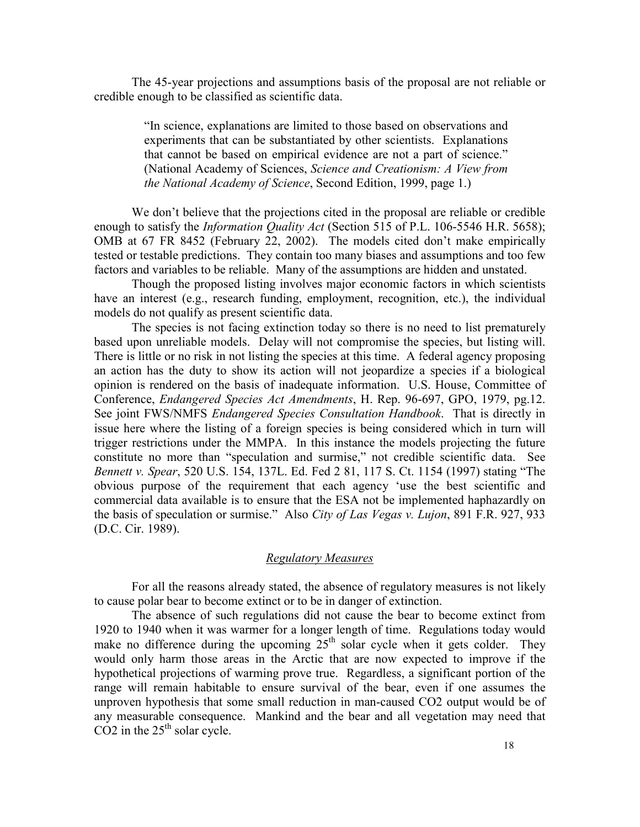The 45-year projections and assumptions basis of the proposal are not reliable or credible enough to be classified as scientific data.

> "In science, explanations are limited to those based on observations and experiments that can be substantiated by other scientists. Explanations that cannot be based on empirical evidence are not a part of science." (National Academy of Sciences, Science and Creationism: A View from the National Academy of Science, Second Edition, 1999, page 1.)

We don't believe that the projections cited in the proposal are reliable or credible enough to satisfy the *Information Quality Act* (Section 515 of P.L. 106-5546 H.R. 5658); OMB at 67 FR 8452 (February 22, 2002). The models cited don't make empirically tested or testable predictions. They contain too many biases and assumptions and too few factors and variables to be reliable. Many of the assumptions are hidden and unstated.

 Though the proposed listing involves major economic factors in which scientists have an interest (e.g., research funding, employment, recognition, etc.), the individual models do not qualify as present scientific data.

 The species is not facing extinction today so there is no need to list prematurely based upon unreliable models. Delay will not compromise the species, but listing will. There is little or no risk in not listing the species at this time. A federal agency proposing an action has the duty to show its action will not jeopardize a species if a biological opinion is rendered on the basis of inadequate information. U.S. House, Committee of Conference, Endangered Species Act Amendments, H. Rep. 96-697, GPO, 1979, pg.12. See joint FWS/NMFS Endangered Species Consultation Handbook. That is directly in issue here where the listing of a foreign species is being considered which in turn will trigger restrictions under the MMPA. In this instance the models projecting the future constitute no more than "speculation and surmise," not credible scientific data. See Bennett v. Spear, 520 U.S. 154, 137L. Ed. Fed 2 81, 117 S. Ct. 1154 (1997) stating "The obvious purpose of the requirement that each agency 'use the best scientific and commercial data available is to ensure that the ESA not be implemented haphazardly on the basis of speculation or surmise." Also City of Las Vegas v. Lujon, 891 F.R. 927, 933 (D.C. Cir. 1989).

# Regulatory Measures

 For all the reasons already stated, the absence of regulatory measures is not likely to cause polar bear to become extinct or to be in danger of extinction.

 The absence of such regulations did not cause the bear to become extinct from 1920 to 1940 when it was warmer for a longer length of time. Regulations today would make no difference during the upcoming  $25<sup>th</sup>$  solar cycle when it gets colder. They would only harm those areas in the Arctic that are now expected to improve if the hypothetical projections of warming prove true. Regardless, a significant portion of the range will remain habitable to ensure survival of the bear, even if one assumes the unproven hypothesis that some small reduction in man-caused CO2 output would be of any measurable consequence. Mankind and the bear and all vegetation may need that  $CO2$  in the  $25<sup>th</sup>$  solar cycle.